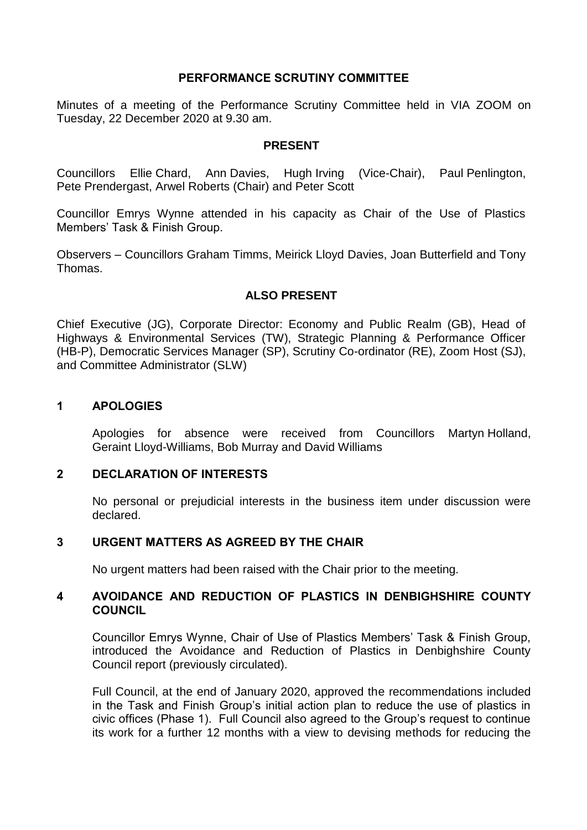### **PERFORMANCE SCRUTINY COMMITTEE**

Minutes of a meeting of the Performance Scrutiny Committee held in VIA ZOOM on Tuesday, 22 December 2020 at 9.30 am.

#### **PRESENT**

Councillors Ellie Chard, Ann Davies, Hugh Irving (Vice-Chair), Paul Penlington, Pete Prendergast, Arwel Roberts (Chair) and Peter Scott

Councillor Emrys Wynne attended in his capacity as Chair of the Use of Plastics Members' Task & Finish Group.

Observers – Councillors Graham Timms, Meirick Lloyd Davies, Joan Butterfield and Tony Thomas.

# **ALSO PRESENT**

Chief Executive (JG), Corporate Director: Economy and Public Realm (GB), Head of Highways & Environmental Services (TW), Strategic Planning & Performance Officer (HB-P), Democratic Services Manager (SP), Scrutiny Co-ordinator (RE), Zoom Host (SJ), and Committee Administrator (SLW)

### **1 APOLOGIES**

Apologies for absence were received from Councillors Martyn Holland, Geraint Lloyd-Williams, Bob Murray and David Williams

# **2 DECLARATION OF INTERESTS**

No personal or prejudicial interests in the business item under discussion were declared.

# **3 URGENT MATTERS AS AGREED BY THE CHAIR**

No urgent matters had been raised with the Chair prior to the meeting.

### **4 AVOIDANCE AND REDUCTION OF PLASTICS IN DENBIGHSHIRE COUNTY COUNCIL**

Councillor Emrys Wynne, Chair of Use of Plastics Members' Task & Finish Group, introduced the Avoidance and Reduction of Plastics in Denbighshire County Council report (previously circulated).

Full Council, at the end of January 2020, approved the recommendations included in the Task and Finish Group's initial action plan to reduce the use of plastics in civic offices (Phase 1). Full Council also agreed to the Group's request to continue its work for a further 12 months with a view to devising methods for reducing the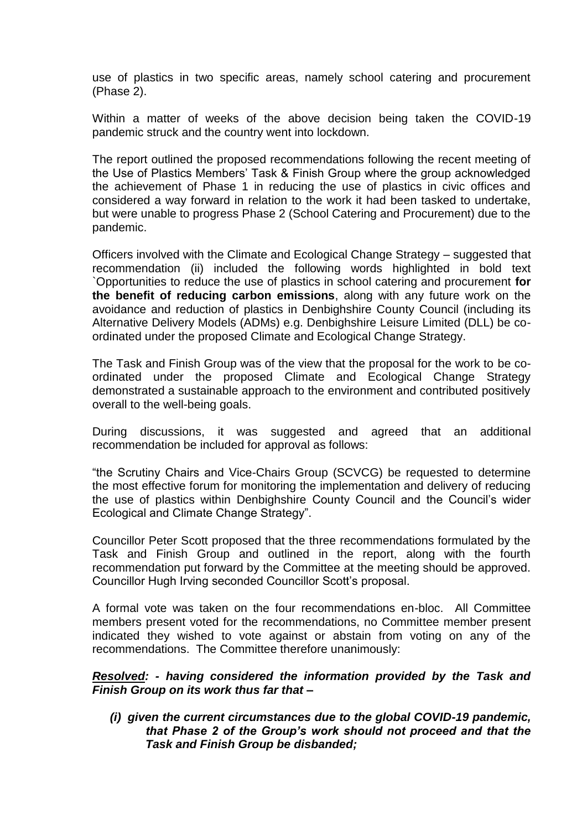use of plastics in two specific areas, namely school catering and procurement (Phase 2).

Within a matter of weeks of the above decision being taken the COVID-19 pandemic struck and the country went into lockdown.

The report outlined the proposed recommendations following the recent meeting of the Use of Plastics Members' Task & Finish Group where the group acknowledged the achievement of Phase 1 in reducing the use of plastics in civic offices and considered a way forward in relation to the work it had been tasked to undertake, but were unable to progress Phase 2 (School Catering and Procurement) due to the pandemic.

Officers involved with the Climate and Ecological Change Strategy – suggested that recommendation (ii) included the following words highlighted in bold text `Opportunities to reduce the use of plastics in school catering and procurement **for the benefit of reducing carbon emissions**, along with any future work on the avoidance and reduction of plastics in Denbighshire County Council (including its Alternative Delivery Models (ADMs) e.g. Denbighshire Leisure Limited (DLL) be coordinated under the proposed Climate and Ecological Change Strategy.

The Task and Finish Group was of the view that the proposal for the work to be coordinated under the proposed Climate and Ecological Change Strategy demonstrated a sustainable approach to the environment and contributed positively overall to the well-being goals.

During discussions, it was suggested and agreed that an additional recommendation be included for approval as follows:

"the Scrutiny Chairs and Vice-Chairs Group (SCVCG) be requested to determine the most effective forum for monitoring the implementation and delivery of reducing the use of plastics within Denbighshire County Council and the Council's wider Ecological and Climate Change Strategy".

Councillor Peter Scott proposed that the three recommendations formulated by the Task and Finish Group and outlined in the report, along with the fourth recommendation put forward by the Committee at the meeting should be approved. Councillor Hugh Irving seconded Councillor Scott's proposal.

A formal vote was taken on the four recommendations en-bloc. All Committee members present voted for the recommendations, no Committee member present indicated they wished to vote against or abstain from voting on any of the recommendations. The Committee therefore unanimously:

*Resolved: - having considered the information provided by the Task and Finish Group on its work thus far that –*

*(i) given the current circumstances due to the global COVID-19 pandemic, that Phase 2 of the Group's work should not proceed and that the Task and Finish Group be disbanded;*